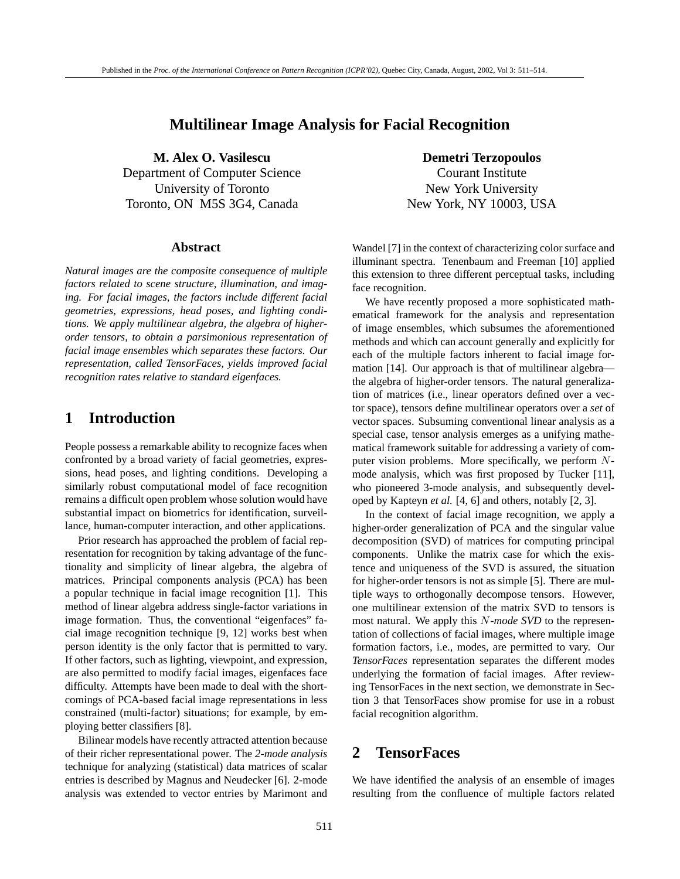### **Multilinear Image Analysis for Facial Recognition**

**M. Alex O. Vasilescu Demetri Terzopoulos** Department of Computer Science Courant Institute University of Toronto New York University Toronto, ON M5S 3G4, Canada New York, NY 10003, USA

#### **Abstract**

*Natural images are the composite consequence of multiple factors related to scene structure, illumination, and imaging. For facial images, the factors include different facial geometries, expressions, head poses, and lighting conditions. We apply multilinear algebra, the algebra of higherorder tensors, to obtain a parsimonious representation of facial image ensembles which separates these factors. Our representation, called TensorFaces, yields improved facial recognition rates relative to standard eigenfaces.*

### **1 Introduction**

People possess a remarkable ability to recognize faces when confronted by a broad variety of facial geometries, expressions, head poses, and lighting conditions. Developing a similarly robust computational model of face recognition remains a difficult open problem whose solution would have substantial impact on biometrics for identification, surveillance, human-computer interaction, and other applications.

Prior research has approached the problem of facial representation for recognition by taking advantage of the functionality and simplicity of linear algebra, the algebra of matrices. Principal components analysis (PCA) has been a popular technique in facial image recognition [1]. This method of linear algebra address single-factor variations in image formation. Thus, the conventional "eigenfaces" facial image recognition technique [9, 12] works best when person identity is the only factor that is permitted to vary. If other factors, such as lighting, viewpoint, and expression, are also permitted to modify facial images, eigenfaces face difficulty. Attempts have been made to deal with the shortcomings of PCA-based facial image representations in less constrained (multi-factor) situations; for example, by employing better classifiers [8].

Bilinear models have recently attracted attention because of their richer representational power. The *2-mode analysis* technique for analyzing (statistical) data matrices of scalar entries is described by Magnus and Neudecker [6]. 2-mode analysis was extended to vector entries by Marimont and

Wandel [7] in the context of characterizing color surface and illuminant spectra. Tenenbaum and Freeman [10] applied this extension to three different perceptual tasks, including face recognition.

We have recently proposed a more sophisticated mathematical framework for the analysis and representation of image ensembles, which subsumes the aforementioned methods and which can account generally and explicitly for each of the multiple factors inherent to facial image formation [14]. Our approach is that of multilinear algebra the algebra of higher-order tensors. The natural generalization of matrices (i.e., linear operators defined over a vector space), tensors define multilinear operators over a *set* of vector spaces. Subsuming conventional linear analysis as a special case, tensor analysis emerges as a unifying mathematical framework suitable for addressing a variety of computer vision problems. More specifically, we perform *N*mode analysis, which was first proposed by Tucker [11], who pioneered 3-mode analysis, and subsequently developed by Kapteyn *et al.* [4, 6] and others, notably [2, 3].

In the context of facial image recognition, we apply a higher-order generalization of PCA and the singular value decomposition (SVD) of matrices for computing principal components. Unlike the matrix case for which the existence and uniqueness of the SVD is assured, the situation for higher-order tensors is not as simple [5]. There are multiple ways to orthogonally decompose tensors. However, one multilinear extension of the matrix SVD to tensors is most natural. We apply this *N-mode SVD* to the representation of collections of facial images, where multiple image formation factors, i.e., modes, are permitted to vary. Our *TensorFaces* representation separates the different modes underlying the formation of facial images. After reviewing TensorFaces in the next section, we demonstrate in Section 3 that TensorFaces show promise for use in a robust facial recognition algorithm.

# **2 TensorFaces**

We have identified the analysis of an ensemble of images resulting from the confluence of multiple factors related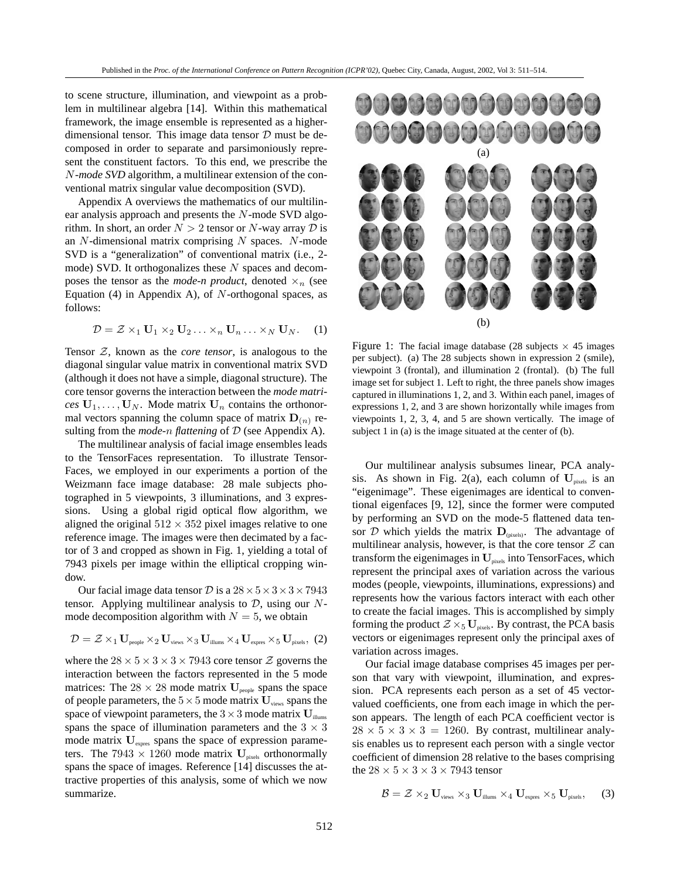to scene structure, illumination, and viewpoint as a problem in multilinear algebra [14]. Within this mathematical framework, the image ensemble is represented as a higherdimensional tensor. This image data tensor  $D$  must be decomposed in order to separate and parsimoniously represent the constituent factors. To this end, we prescribe the *N-mode SVD* algorithm, a multilinear extension of the conventional matrix singular value decomposition (SVD).

Appendix A overviews the mathematics of our multilinear analysis approach and presents the *N*-mode SVD algorithm. In short, an order  $N > 2$  tensor or *N*-way array  $D$  is an *N*-dimensional matrix comprising *N* spaces. *N*-mode SVD is a "generalization" of conventional matrix (i.e., 2 mode) SVD. It orthogonalizes these *N* spaces and decomposes the tensor as the *mode-n product*, denoted  $\times_n$  (see Equation (4) in Appendix A), of *N*-orthogonal spaces, as follows:

$$
\mathcal{D} = \mathcal{Z} \times_1 \mathbf{U}_1 \times_2 \mathbf{U}_2 \dots \times_n \mathbf{U}_n \dots \times_N \mathbf{U}_N.
$$
 (1)

Tensor Z, known as the *core tensor*, is analogous to the diagonal singular value matrix in conventional matrix SVD (although it does not have a simple, diagonal structure). The core tensor governs the interaction between the *mode matrices*  $U_1, \ldots, U_N$ . Mode matrix  $U_n$  contains the orthonormal vectors spanning the column space of matrix  $\mathbf{D}_{(n)}$  resulting from the *mode-n flattening* of D (see Appendix A).

The multilinear analysis of facial image ensembles leads to the TensorFaces representation. To illustrate Tensor-Faces, we employed in our experiments a portion of the Weizmann face image database: 28 male subjects photographed in 5 viewpoints, 3 illuminations, and 3 expressions. Using a global rigid optical flow algorithm, we aligned the original  $512 \times 352$  pixel images relative to one reference image. The images were then decimated by a factor of 3 and cropped as shown in Fig. 1, yielding a total of 7943 pixels per image within the elliptical cropping window.

Our facial image data tensor  $D$  is a  $28 \times 5 \times 3 \times 3 \times 7943$ tensor. Applying multilinear analysis to D, using our *N*mode decomposition algorithm with  $N = 5$ , we obtain

$$
\mathcal{D} = \mathcal{Z} \times_1 \mathbf{U}_{\text{people}} \times_2 \mathbf{U}_{\text{views}} \times_3 \mathbf{U}_{\text{illums}} \times_4 \mathbf{U}_{\text{express}} \times_5 \mathbf{U}_{\text{pixels}}, \text{ (2)}
$$

where the  $28 \times 5 \times 3 \times 3 \times 7943$  core tensor  $\mathcal{Z}$  governs the interaction between the factors represented in the 5 mode matrices: The  $28 \times 28$  mode matrix  $U_{\text{people}}$  spans the space of people parameters, the  $5 \times 5$  mode matrix  $\mathbf{U}_{\text{views}}$  spans the space of viewpoint parameters, the  $3 \times 3$  mode matrix  $\mathbf{U}_{\text{illustr}}$ spans the space of illumination parameters and the  $3 \times 3$ mode matrix  $U_{\text{express}}$  spans the space of expression parameters. The  $7943 \times 1260$  mode matrix  $U_{\text{pixels}}$  orthonormally spans the space of images. Reference [14] discusses the attractive properties of this analysis, some of which we now summarize.



Figure 1: The facial image database (28 subjects  $\times$  45 images per subject). (a) The 28 subjects shown in expression 2 (smile), viewpoint 3 (frontal), and illumination 2 (frontal). (b) The full image set for subject 1. Left to right, the three panels show images captured in illuminations 1, 2, and 3. Within each panel, images of expressions 1, 2, and 3 are shown horizontally while images from viewpoints 1, 2, 3, 4, and 5 are shown vertically. The image of subject 1 in (a) is the image situated at the center of (b).

Our multilinear analysis subsumes linear, PCA analysis. As shown in Fig. 2(a), each column of  $U_{\text{pixels}}$  is an "eigenimage". These eigenimages are identical to conventional eigenfaces [9, 12], since the former were computed by performing an SVD on the mode-5 flattened data tensor  $D$  which yields the matrix  $D_{\text{(pixels)}}$ . The advantage of multilinear analysis, however, is that the core tensor  $Z$  can transform the eigenimages in  $U_{\text{pixels}}$  into TensorFaces, which represent the principal axes of variation across the various modes (people, viewpoints, illuminations, expressions) and represents how the various factors interact with each other to create the facial images. This is accomplished by simply forming the product  $Z \times_5 U_{pixels}$ . By contrast, the PCA basis vectors or eigenimages represent only the principal axes of variation across images.

Our facial image database comprises 45 images per person that vary with viewpoint, illumination, and expression. PCA represents each person as a set of 45 vectorvalued coefficients, one from each image in which the person appears. The length of each PCA coefficient vector is  $28 \times 5 \times 3 \times 3 = 1260$ . By contrast, multilinear analysis enables us to represent each person with a single vector coefficient of dimension 28 relative to the bases comprising the  $28 \times 5 \times 3 \times 3 \times 7943$  tensor

$$
\mathcal{B} = \mathcal{Z} \times_2 \mathbf{U}_{\text{views}} \times_3 \mathbf{U}_{\text{illustr}} \times_4 \mathbf{U}_{\text{express}} \times_5 \mathbf{U}_{\text{pixels}}, \quad \text{ (3)}
$$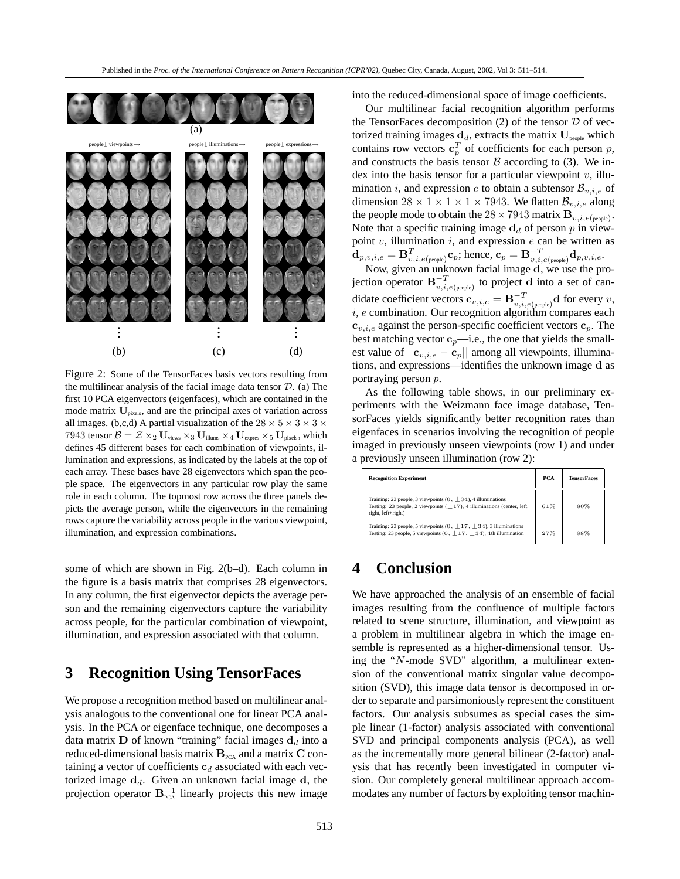

Figure 2: Some of the TensorFaces basis vectors resulting from the multilinear analysis of the facial image data tensor *D*. (a) The first 10 PCA eigenvectors (eigenfaces), which are contained in the mode matrix  $U_{\text{pixels}}$ , and are the principal axes of variation across all images. (b,c,d) A partial visualization of the  $28 \times 5 \times 3 \times 3 \times$ 7943 tensor  $\mathcal{B} = \mathcal{Z} \times_2 \mathbf{U}_{\text{views}} \times_3 \mathbf{U}_{\text{illustr}} \times_4 \mathbf{U}_{\text{express}} \times_5 \mathbf{U}_{\text{pixels}}$ , which defines 45 different bases for each combination of viewpoints, illumination and expressions, as indicated by the labels at the top of each array. These bases have 28 eigenvectors which span the people space. The eigenvectors in any particular row play the same role in each column. The topmost row across the three panels depicts the average person, while the eigenvectors in the remaining rows capture the variability across people in the various viewpoint, illumination, and expression combinations.

some of which are shown in Fig. 2(b–d). Each column in the figure is a basis matrix that comprises 28 eigenvectors. In any column, the first eigenvector depicts the average person and the remaining eigenvectors capture the variability across people, for the particular combination of viewpoint, illumination, and expression associated with that column.

## **3 Recognition Using TensorFaces**

We propose a recognition method based on multilinear analysis analogous to the conventional one for linear PCA analysis. In the PCA or eigenface technique, one decomposes a data matrix **D** of known "training" facial images  $\mathbf{d}_d$  into a reduced-dimensional basis matrix  $B_{PCA}$  and a matrix  $C$  containing a vector of coefficients **c***<sup>d</sup>* associated with each vectorized image  $\mathbf{d}_d$ . Given an unknown facial image  $\mathbf{d}_d$ , the projection operator  $B^{-1}_{\text{PCA}}$  linearly projects this new image

into the reduced-dimensional space of image coefficients.

Our multilinear facial recognition algorithm performs the TensorFaces decomposition  $(2)$  of the tensor  $D$  of vectorized training images  $\mathbf{d}_d$ , extracts the matrix  $\mathbf{U}_{\text{people}}$  which contains row vectors  $\mathbf{c}_n^T$  of coefficients for each person *p*, and constructs the basis tensor  $\beta$  according to (3). We index into the basis tensor for a particular viewpoint *v*, illumination *i*, and expression *e* to obtain a subtensor  $\mathcal{B}_{v,i,e}$  of dimension  $28 \times 1 \times 1 \times 1 \times 7943$ . We flatten  $\mathcal{B}_{v,i,e}$  along the people mode to obtain the  $28 \times 7943$  matrix  $\mathbf{B}_{v,i,e(\text{people})}$ . Note that a specific training image  $\mathbf{d}_d$  of person p in viewpoint *v*, illumination *i*, and expression *e* can be written as  $\mathbf{d}_{p,v,i,e} = \mathbf{B}_{v,i,e(\textrm{people})}^T \mathbf{c}_p; \textrm{hence, } \mathbf{c}_p = \mathbf{B}_{v,i,e(\textrm{people})}^{-T} \mathbf{d}_{p,v,i,e}.$ 

Now, given an unknown facial image **d**, we use the projection operator  $\mathbf{B}_{v,i,e(\text{people})}^{-T}$  to project **d** into a set of candidate coefficient vectors  $\mathbf{c}_{v,i,e} = \mathbf{B}_{v,i,e(\text{people})}^{-T} \mathbf{d}$  for every *v*, *i*, *e* combination. Our recognition algorithm compares each **<sub>***v***,***i***,***e***</sub> against the person-specific coefficient vectors**  $**c**$ *p***. The** best matching vector  $\mathbf{c}_p$ —i.e., the one that yields the smallest value of  $||\mathbf{c}_{v,i,e} - \mathbf{c}_p||$  among all viewpoints, illuminations, and expressions—identifies the unknown image **d** as portraying person *p*.

As the following table shows, in our preliminary experiments with the Weizmann face image database, TensorFaces yields significantly better recognition rates than eigenfaces in scenarios involving the recognition of people imaged in previously unseen viewpoints (row 1) and under a previously unseen illumination (row 2):

| <b>Recognition Experiment</b>                                                                                                                                          | PCA | <b>TensorFaces</b> |
|------------------------------------------------------------------------------------------------------------------------------------------------------------------------|-----|--------------------|
| Training: 23 people, 3 viewpoints (0, $\pm$ 34), 4 illuminations<br>Testing: 23 people, 2 viewpoints $(\pm 17)$ , 4 illuminations (center, left,<br>right, left+right) | 61% | 80%                |
| Training: 23 people, 5 viewpoints (0, $\pm$ 17, $\pm$ 34), 3 illuminations<br>Testing: 23 people, 5 viewpoints (0, $\pm$ 17, $\pm$ 34), 4th illumination               | 27% | 88%                |

# **4 Conclusion**

We have approached the analysis of an ensemble of facial images resulting from the confluence of multiple factors related to scene structure, illumination, and viewpoint as a problem in multilinear algebra in which the image ensemble is represented as a higher-dimensional tensor. Using the "*N*-mode SVD" algorithm, a multilinear extension of the conventional matrix singular value decomposition (SVD), this image data tensor is decomposed in order to separate and parsimoniously represent the constituent factors. Our analysis subsumes as special cases the simple linear (1-factor) analysis associated with conventional SVD and principal components analysis (PCA), as well as the incrementally more general bilinear (2-factor) analysis that has recently been investigated in computer vision. Our completely general multilinear approach accommodates any number of factors by exploiting tensor machin